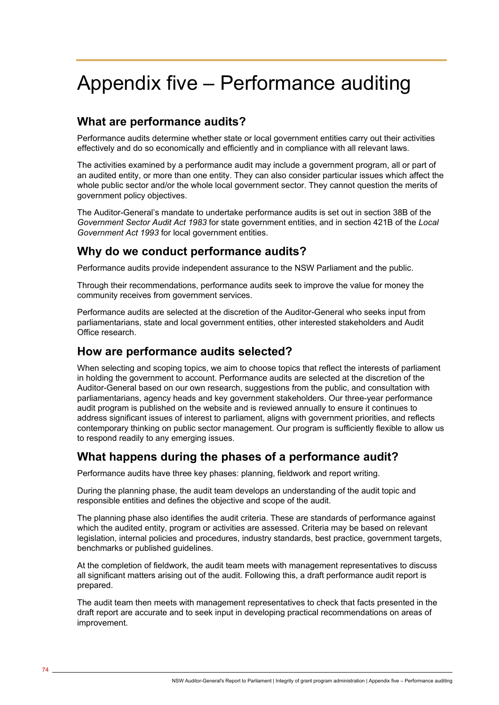# Appendix five – Performance auditing

# **What are performance audits?**

Performance audits determine whether state or local government entities carry out their activities effectively and do so economically and efficiently and in compliance with all relevant laws.

The activities examined by a performance audit may include a government program, all or part of an audited entity, or more than one entity. They can also consider particular issues which affect the whole public sector and/or the whole local government sector. They cannot question the merits of government policy objectives.

The Auditor-General's mandate to undertake performance audits is set out in section 38B of the *Government Sector Audit Act 1983* for state government entities, and in section 421B of the *Local Government Act 1993* for local government entities.

## **Why do we conduct performance audits?**

Performance audits provide independent assurance to the NSW Parliament and the public.

Through their recommendations, performance audits seek to improve the value for money the community receives from government services.

Performance audits are selected at the discretion of the Auditor-General who seeks input from parliamentarians, state and local government entities, other interested stakeholders and Audit Office research.

#### **How are performance audits selected?**

When selecting and scoping topics, we aim to choose topics that reflect the interests of parliament in holding the government to account. Performance audits are selected at the discretion of the Auditor-General based on our own research, suggestions from the public, and consultation with parliamentarians, agency heads and key government stakeholders. Our three-year performance audit program is published on the website and is reviewed annually to ensure it continues to address significant issues of interest to parliament, aligns with government priorities, and reflects contemporary thinking on public sector management. Our program is sufficiently flexible to allow us to respond readily to any emerging issues.

#### **What happens during the phases of a performance audit?**

Performance audits have three key phases: planning, fieldwork and report writing.

During the planning phase, the audit team develops an understanding of the audit topic and responsible entities and defines the objective and scope of the audit.

The planning phase also identifies the audit criteria. These are standards of performance against which the audited entity, program or activities are assessed. Criteria may be based on relevant legislation, internal policies and procedures, industry standards, best practice, government targets, benchmarks or published guidelines.

At the completion of fieldwork, the audit team meets with management representatives to discuss all significant matters arising out of the audit. Following this, a draft performance audit report is prepared.

The audit team then meets with management representatives to check that facts presented in the draft report are accurate and to seek input in developing practical recommendations on areas of improvement.